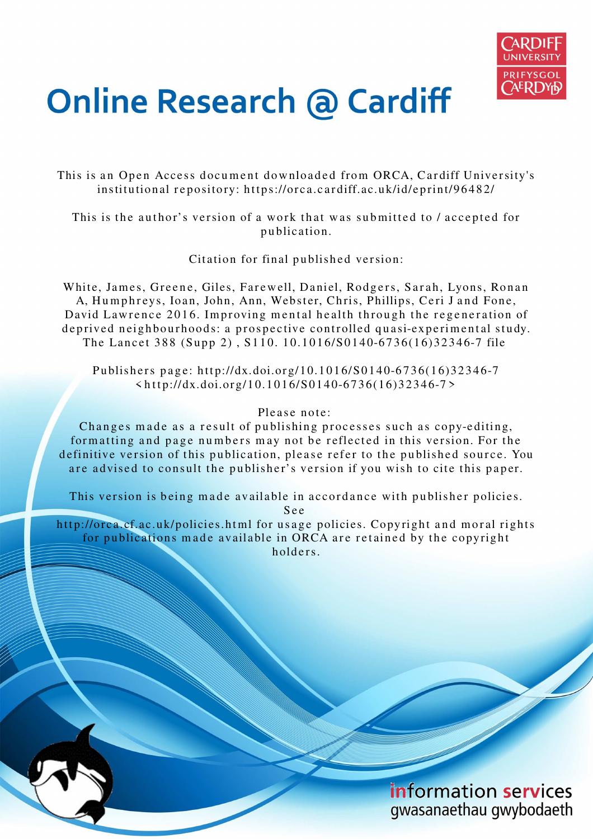

# **Online Research @ Cardiff**

This is an Open Access document downloaded from ORCA, Cardiff University's institutional repository: https://orca.cardiff.ac.uk/id/eprint/96482/

This is the author's version of a work that was submitted to / accepted for p u blication.

Citation for final published version:

White, James, Greene, Giles, Farewell, Daniel, Rodgers, Sarah, Lyons, Ronan A, Humphreys, Ioan, John, Ann, Webster, Chris, Phillips, Ceri J and Fone, David Lawrence 2016. Improving mental health through the regeneration of deprived neighbourhoods: a prospective controlled quasi-experimental study. The Lancet 388 (Supp 2), S110. 10.1016/S0140-6736(16)32346-7 file

Publishers page: http://dx.doi.org/10.1016/S0140-6736(16)32346-7  $\n$  < http://dx.doi.org/10.1016/S0140-6736(16)32346-7>

#### Please note:

Changes made as a result of publishing processes such as copy-editing, formatting and page numbers may not be reflected in this version. For the definitive version of this publication, please refer to the published source. You are advised to consult the publisher's version if you wish to cite this paper.

This version is being made available in accordance with publisher policies.

S e e

http://orca.cf.ac.uk/policies.html for usage policies. Copyright and moral rights for publications made available in ORCA are retained by the copyright holders.

> information services gwasanaethau gwybodaeth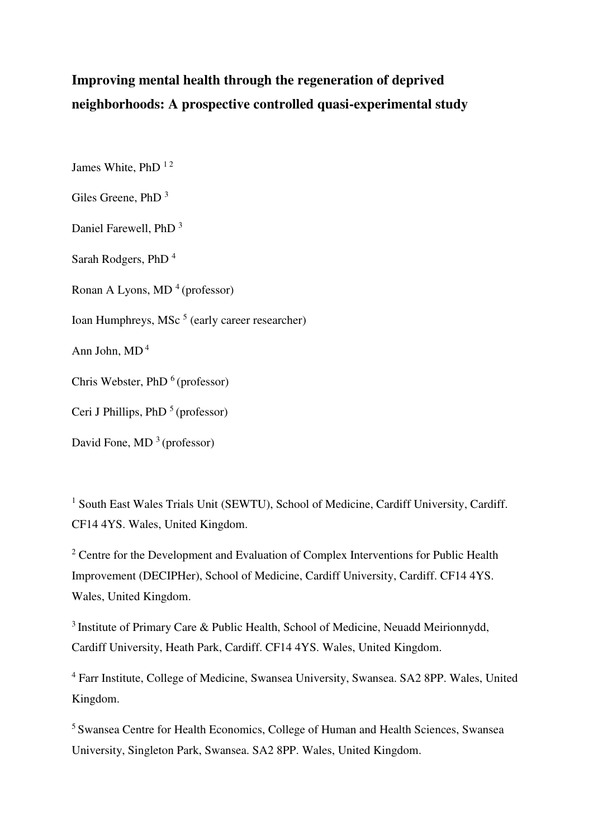## **Improving mental health through the regeneration of deprived neighborhoods: A prospective controlled quasi-experimental study**

James White, PhD<sup>12</sup>

Giles Greene, PhD <sup>3</sup>

Daniel Farewell, PhD <sup>3</sup>

Sarah Rodgers, PhD<sup>4</sup>

Ronan A Lyons, MD<sup>4</sup> (professor)

Ioan Humphreys, MSc<sup>5</sup> (early career researcher)

Ann John,  $MD<sup>4</sup>$ 

Chris Webster, PhD  $<sup>6</sup>$  (professor)</sup>

Ceri J Phillips, PhD  $<sup>5</sup>$  (professor)</sup>

David Fone, MD  $<sup>3</sup>$  (professor)</sup>

<sup>1</sup> South East Wales Trials Unit (SEWTU), School of Medicine, Cardiff University, Cardiff. CF14 4YS. Wales, United Kingdom.

 $2^2$  Centre for the Development and Evaluation of Complex Interventions for Public Health Improvement (DECIPHer), School of Medicine, Cardiff University, Cardiff. CF14 4YS. Wales, United Kingdom.

<sup>3</sup>Institute of Primary Care & Public Health, School of Medicine, Neuadd Meirionnydd, Cardiff University, Heath Park, Cardiff. CF14 4YS. Wales, United Kingdom.

4 Farr Institute, College of Medicine, Swansea University, Swansea. SA2 8PP. Wales, United Kingdom.

<sup>5</sup>Swansea Centre for Health Economics, College of Human and Health Sciences, Swansea University, Singleton Park, Swansea. SA2 8PP. Wales, United Kingdom.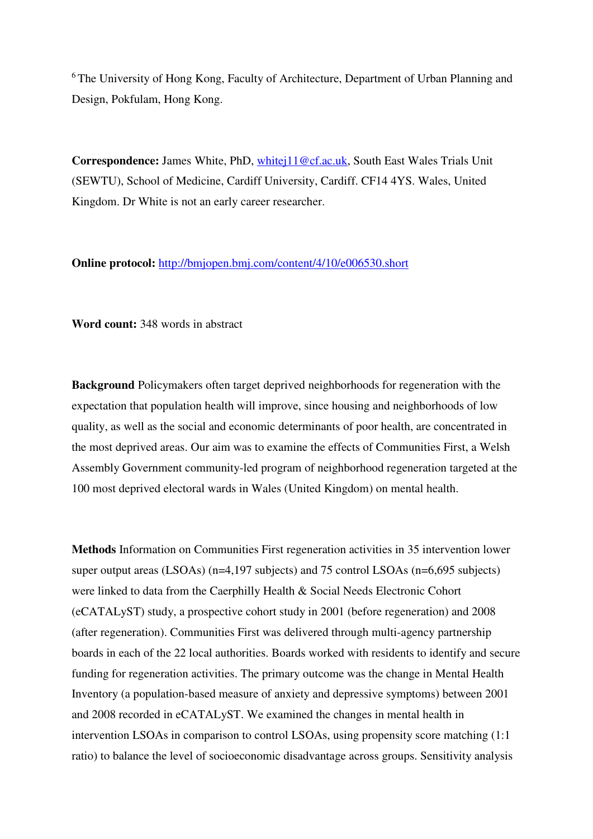<sup>6</sup>The University of Hong Kong, Faculty of Architecture, Department of Urban Planning and Design, Pokfulam, Hong Kong.

**Correspondence:** James White, PhD, [whitej11@cf.ac.uk,](mailto:whitej11@cf.ac.uk) South East Wales Trials Unit (SEWTU), School of Medicine, Cardiff University, Cardiff. CF14 4YS. Wales, United Kingdom. Dr White is not an early career researcher.

**Online protocol:** <http://bmjopen.bmj.com/content/4/10/e006530.short>

**Word count:** 348 words in abstract

**Background** Policymakers often target deprived neighborhoods for regeneration with the expectation that population health will improve, since housing and neighborhoods of low quality, as well as the social and economic determinants of poor health, are concentrated in the most deprived areas. Our aim was to examine the effects of Communities First, a Welsh Assembly Government community-led program of neighborhood regeneration targeted at the 100 most deprived electoral wards in Wales (United Kingdom) on mental health.

**Methods** Information on Communities First regeneration activities in 35 intervention lower super output areas (LSOAs) (n=4,197 subjects) and 75 control LSOAs (n=6,695 subjects) were linked to data from the Caerphilly Health & Social Needs Electronic Cohort (eCATALyST) study, a prospective cohort study in 2001 (before regeneration) and 2008 (after regeneration). Communities First was delivered through multi-agency partnership boards in each of the 22 local authorities. Boards worked with residents to identify and secure funding for regeneration activities. The primary outcome was the change in Mental Health Inventory (a population-based measure of anxiety and depressive symptoms) between 2001 and 2008 recorded in eCATALyST. We examined the changes in mental health in intervention LSOAs in comparison to control LSOAs, using propensity score matching (1:1 ratio) to balance the level of socioeconomic disadvantage across groups. Sensitivity analysis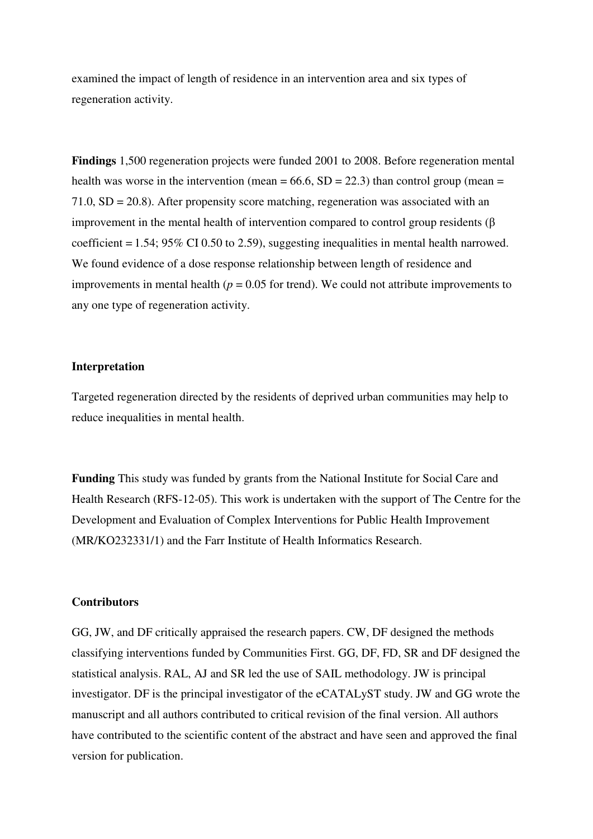examined the impact of length of residence in an intervention area and six types of regeneration activity.

**Findings** 1,500 regeneration projects were funded 2001 to 2008. Before regeneration mental health was worse in the intervention (mean =  $66.6$ , SD = 22.3) than control group (mean = 71.0, SD = 20.8). After propensity score matching, regeneration was associated with an improvement in the mental health of intervention compared to control group residents (β coefficient = 1.54; 95% CI 0.50 to 2.59), suggesting inequalities in mental health narrowed. We found evidence of a dose response relationship between length of residence and improvements in mental health ( $p = 0.05$  for trend). We could not attribute improvements to any one type of regeneration activity.

#### **Interpretation**

Targeted regeneration directed by the residents of deprived urban communities may help to reduce inequalities in mental health.

**Funding** This study was funded by grants from the National Institute for Social Care and Health Research (RFS-12-05). This work is undertaken with the support of The Centre for the Development and Evaluation of Complex Interventions for Public Health Improvement (MR/KO232331/1) and the Farr Institute of Health Informatics Research.

#### **Contributors**

GG, JW, and DF critically appraised the research papers. CW, DF designed the methods classifying interventions funded by Communities First. GG, DF, FD, SR and DF designed the statistical analysis. RAL, AJ and SR led the use of SAIL methodology. JW is principal investigator. DF is the principal investigator of the eCATALyST study. JW and GG wrote the manuscript and all authors contributed to critical revision of the final version. All authors have contributed to the scientific content of the abstract and have seen and approved the final version for publication.